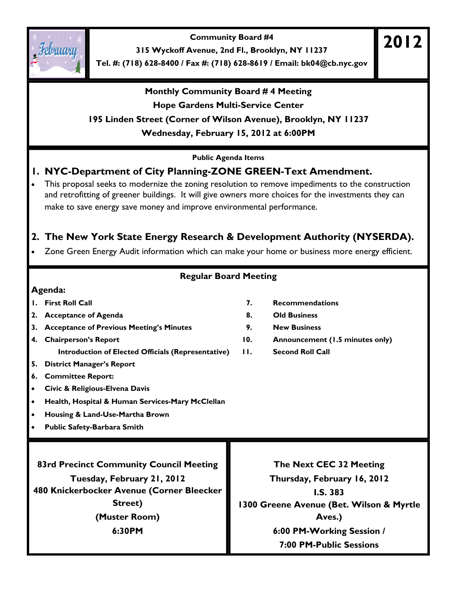**Community Board #4** 



**315 Wyckoff Avenue, 2nd Fl., Brooklyn, NY 11237** 

**Tel. #: (718) 628-8400 / Fax #: (718) 628-8619 / Email: bk04@cb.nyc.gov** 

### **Monthly Community Board # 4 Meeting Hope Gardens Multi-Service Center**

#### **195 Linden Street (Corner of Wilson Avenue), Brooklyn, NY 11237**

**Wednesday, February 15, 2012 at 6:00PM** 

**Public Agenda Items** 

# **1. NYC-Department of City Planning-ZONE GREEN-Text Amendment.**

• This proposal seeks to modernize the zoning resolution to remove impediments to the construction and retrofitting of greener buildings. It will give owners more choices for the investments they can make to save energy save money and improve environmental performance.

# **2. The New York State Energy Research & Development Authority (NYSERDA).**

• Zone Green Energy Audit information which can make your home or business more energy efficient.

# **Regular Board Meeting**

#### **Agenda:**

- 
- 2. Acceptance of Agenda **8.** Old Business
- **3. Acceptance of Previous Meeting's Minutes 9. New Business**
- **4. Chairperson's Report 10. Announcement (1.5 minutes only)**
- **5. District Manager's Report**
- **6. Committee Report:**
- **Civic & Religious-Elvena Davis**
- **Health, Hospital & Human Services-Mary McClellan**
- **Housing & Land-Use-Martha Brown**
- **Public Safety-Barbara Smith**

**83rd Precinct Community Council Meeting** 

**Tuesday, February 21, 2012 480 Knickerbocker Avenue (Corner Bleecker Street) (Muster Room) 6:30PM** 

#### **1. First Roll Call 7. Recommendations**

- 
- 
- 
- **Introduction of Elected Officials (Representative) 11. Second Roll Call**

**The Next CEC 32 Meeting Thursday, February 16, 2012 I.S. 383 1300 Greene Avenue (Bet. Wilson & Myrtle Aves.) 6:00 PM-Working Session / 7:00 PM-Public Sessions** 

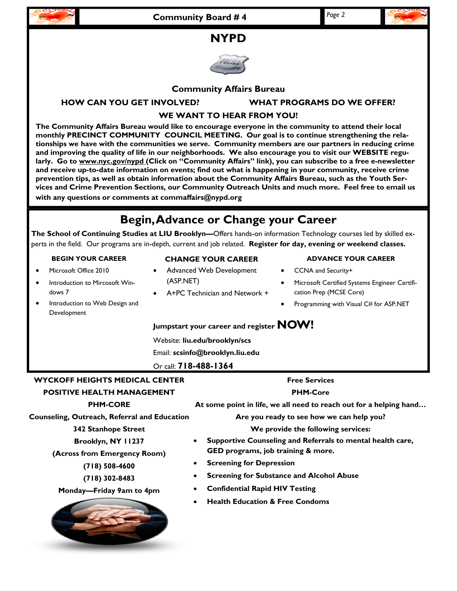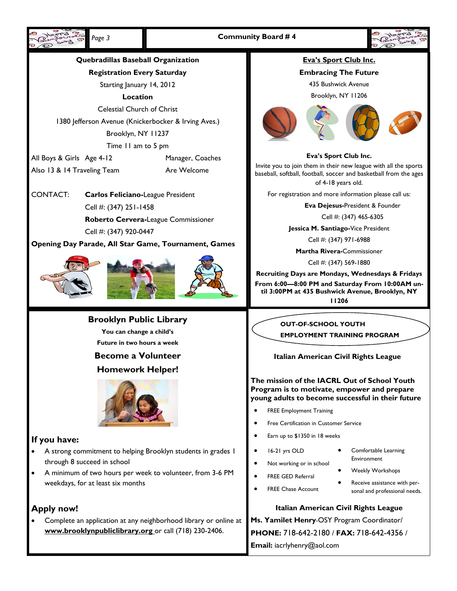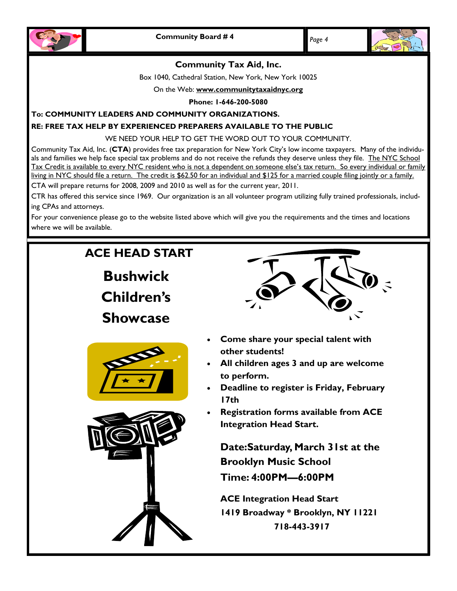



#### **Community Tax Aid, Inc.**

Box 1040, Cathedral Station, New York, New York 10025

On the Web: **www.communitytaxaidnyc.org**

**Phone: 1-646-200-5080** 

#### **To: COMMUNITY LEADERS AND COMMUNITY ORGANIZATIONS.**

#### **RE: FREE TAX HELP BY EXPERIENCED PREPARERS AVAILABLE TO THE PUBLIC**

WE NEED YOUR HELP TO GET THE WORD OUT TO YOUR COMMUNITY.

Community Tax Aid, Inc. (**CTA**) provides free tax preparation for New York City's low income taxpayers. Many of the individuals and families we help face special tax problems and do not receive the refunds they deserve unless they file. The NYC School Tax Credit is available to every NYC resident who is not a dependent on someone else's tax return. So every individual or family living in NYC should file a return. The credit is \$62.50 for an individual and \$125 for a married couple filing jointly or a family. CTA will prepare returns for 2008, 2009 and 2010 as well as for the current year, 2011.

CTR has offered this service since 1969. Our organization is an all volunteer program utilizing fully trained professionals, includ-

ing CPAs and attorneys.

For your convenience please go to the website listed above which will give you the requirements and the times and locations where we will be available.